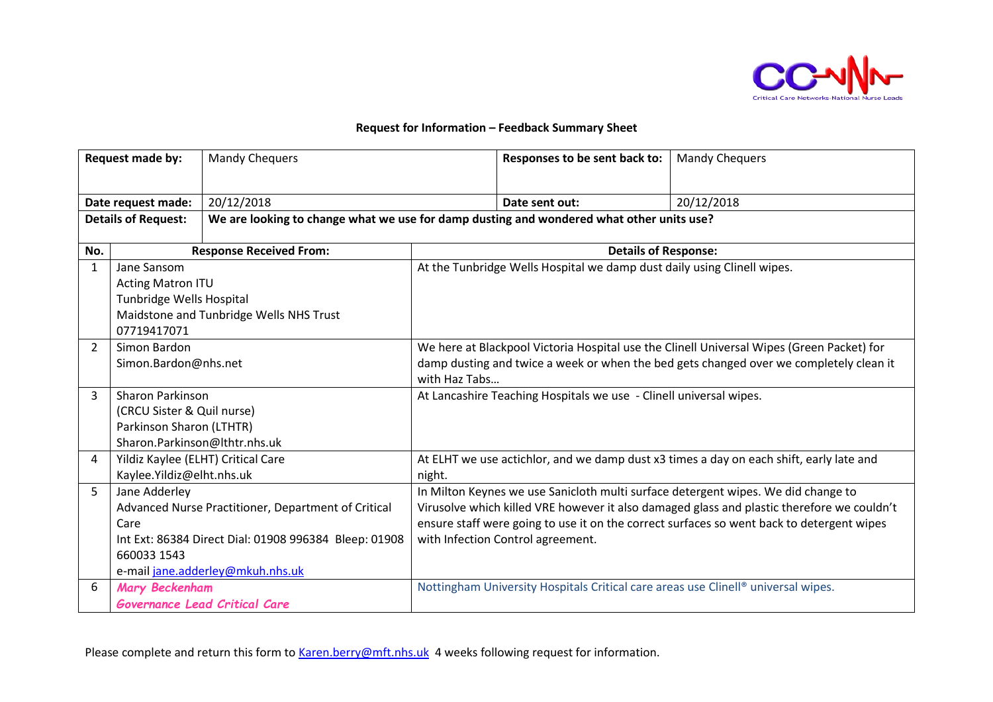

## **Request for Information – Feedback Summary Sheet**

| Request made by:           |                                                                                                                                                                                          | <b>Mandy Chequers</b>                                                                    |                                                                                                                                                                                                                                                                                                                   | Responses to be sent back to:                                                     | <b>Mandy Chequers</b>                                                                   |  |
|----------------------------|------------------------------------------------------------------------------------------------------------------------------------------------------------------------------------------|------------------------------------------------------------------------------------------|-------------------------------------------------------------------------------------------------------------------------------------------------------------------------------------------------------------------------------------------------------------------------------------------------------------------|-----------------------------------------------------------------------------------|-----------------------------------------------------------------------------------------|--|
| Date request made:         |                                                                                                                                                                                          | 20/12/2018                                                                               |                                                                                                                                                                                                                                                                                                                   | Date sent out:                                                                    | 20/12/2018                                                                              |  |
| <b>Details of Request:</b> |                                                                                                                                                                                          | We are looking to change what we use for damp dusting and wondered what other units use? |                                                                                                                                                                                                                                                                                                                   |                                                                                   |                                                                                         |  |
| No.                        |                                                                                                                                                                                          | <b>Response Received From:</b>                                                           |                                                                                                                                                                                                                                                                                                                   | <b>Details of Response:</b>                                                       |                                                                                         |  |
| $\mathbf{1}$               | Jane Sansom<br><b>Acting Matron ITU</b><br>Tunbridge Wells Hospital<br>Maidstone and Tunbridge Wells NHS Trust<br>07719417071                                                            |                                                                                          | At the Tunbridge Wells Hospital we damp dust daily using Clinell wipes.                                                                                                                                                                                                                                           |                                                                                   |                                                                                         |  |
| $\overline{2}$             | Simon Bardon<br>Simon.Bardon@nhs.net                                                                                                                                                     |                                                                                          | We here at Blackpool Victoria Hospital use the Clinell Universal Wipes (Green Packet) for<br>damp dusting and twice a week or when the bed gets changed over we completely clean it<br>with Haz Tabs                                                                                                              |                                                                                   |                                                                                         |  |
| 3                          | <b>Sharon Parkinson</b><br>(CRCU Sister & Quil nurse)<br>Parkinson Sharon (LTHTR)<br>Sharon.Parkinson@lthtr.nhs.uk                                                                       |                                                                                          |                                                                                                                                                                                                                                                                                                                   | At Lancashire Teaching Hospitals we use - Clinell universal wipes.                |                                                                                         |  |
| $\overline{4}$             | Yildiz Kaylee (ELHT) Critical Care<br>Kaylee.Yildiz@elht.nhs.uk                                                                                                                          |                                                                                          | night.                                                                                                                                                                                                                                                                                                            |                                                                                   | At ELHT we use actichlor, and we damp dust x3 times a day on each shift, early late and |  |
| 5                          | Jane Adderley<br>Advanced Nurse Practitioner, Department of Critical<br>Care<br>Int Ext: 86384 Direct Dial: 01908 996384 Bleep: 01908<br>660033 1543<br>e-mail jane.adderley@mkuh.nhs.uk |                                                                                          | In Milton Keynes we use Sanicloth multi surface detergent wipes. We did change to<br>Virusolve which killed VRE however it also damaged glass and plastic therefore we couldn't<br>ensure staff were going to use it on the correct surfaces so went back to detergent wipes<br>with Infection Control agreement. |                                                                                   |                                                                                         |  |
| 6                          | Mary Beckenham                                                                                                                                                                           | Governance Lead Critical Care                                                            |                                                                                                                                                                                                                                                                                                                   | Nottingham University Hospitals Critical care areas use Clinell® universal wipes. |                                                                                         |  |

Please complete and return this form to [Karen.berry@mft.nhs.uk](mailto:Karen.berry@mft.nhs.uk) 4 weeks following request for information.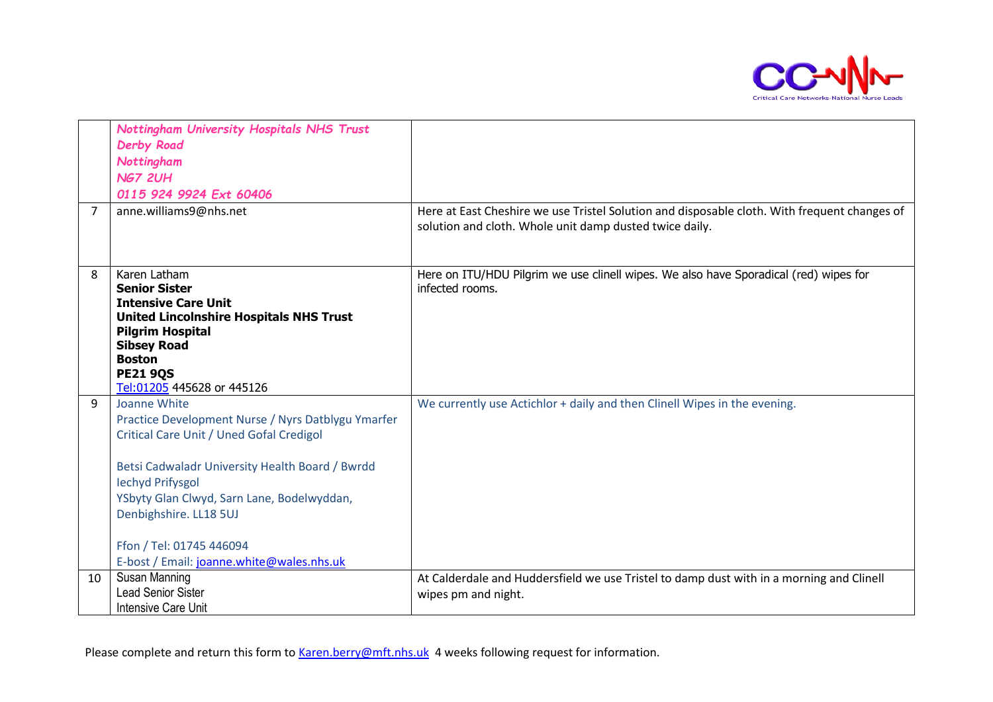

| $\overline{7}$ | Nottingham University Hospitals NHS Trust<br><b>Derby Road</b><br>Nottingham<br><b>NG7 2UH</b><br>0115 924 9924 Ext 60406<br>anne.williams9@nhs.net                                                                                                                                                                                           | Here at East Cheshire we use Tristel Solution and disposable cloth. With frequent changes of                    |
|----------------|-----------------------------------------------------------------------------------------------------------------------------------------------------------------------------------------------------------------------------------------------------------------------------------------------------------------------------------------------|-----------------------------------------------------------------------------------------------------------------|
|                |                                                                                                                                                                                                                                                                                                                                               | solution and cloth. Whole unit damp dusted twice daily.                                                         |
| 8              | Karen Latham<br><b>Senior Sister</b><br><b>Intensive Care Unit</b><br><b>United Lincolnshire Hospitals NHS Trust</b><br><b>Pilgrim Hospital</b><br><b>Sibsey Road</b><br><b>Boston</b><br><b>PE21 9QS</b><br>Tel:01205 445628 or 445126                                                                                                       | Here on ITU/HDU Pilgrim we use clinell wipes. We also have Sporadical (red) wipes for<br>infected rooms.        |
| 9              | Joanne White<br>Practice Development Nurse / Nyrs Datblygu Ymarfer<br>Critical Care Unit / Uned Gofal Credigol<br>Betsi Cadwaladr University Health Board / Bwrdd<br><b>Iechyd Prifysgol</b><br>YSbyty Glan Clwyd, Sarn Lane, Bodelwyddan,<br>Denbighshire. LL18 5UJ<br>Ffon / Tel: 01745 446094<br>E-bost / Email: joanne.white@wales.nhs.uk | We currently use Actichlor + daily and then Clinell Wipes in the evening.                                       |
| 10             | Susan Manning<br><b>Lead Senior Sister</b><br><b>Intensive Care Unit</b>                                                                                                                                                                                                                                                                      | At Calderdale and Huddersfield we use Tristel to damp dust with in a morning and Clinell<br>wipes pm and night. |

Please complete and return this form to [Karen.berry@mft.nhs.uk](mailto:Karen.berry@mft.nhs.uk) 4 weeks following request for information.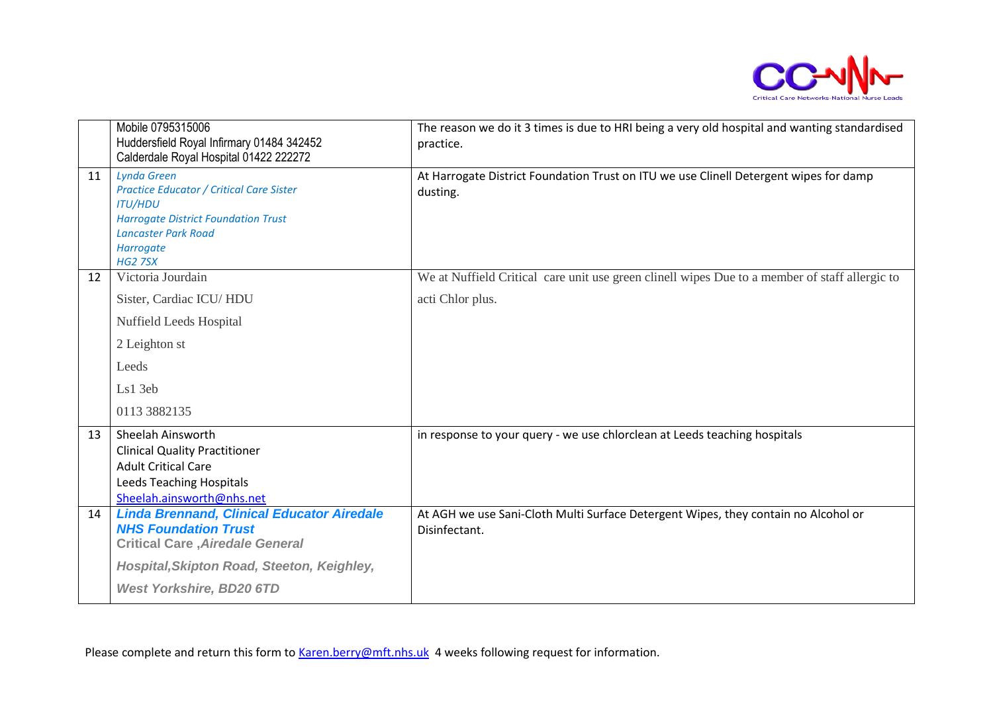

|    | Mobile 0795315006<br>Huddersfield Royal Infirmary 01484 342452<br>Calderdale Royal Hospital 01422 222272                                                                                           | The reason we do it 3 times is due to HRI being a very old hospital and wanting standardised<br>practice. |
|----|----------------------------------------------------------------------------------------------------------------------------------------------------------------------------------------------------|-----------------------------------------------------------------------------------------------------------|
| 11 | <b>Lynda Green</b><br><b>Practice Educator / Critical Care Sister</b><br><b>ITU/HDU</b><br><b>Harrogate District Foundation Trust</b><br><b>Lancaster Park Road</b><br>Harrogate<br><b>HG2 7SX</b> | At Harrogate District Foundation Trust on ITU we use Clinell Detergent wipes for damp<br>dusting.         |
| 12 | Victoria Jourdain                                                                                                                                                                                  | We at Nuffield Critical care unit use green clinell wipes Due to a member of staff allergic to            |
|    | Sister, Cardiac ICU/HDU                                                                                                                                                                            | acti Chlor plus.                                                                                          |
|    | Nuffield Leeds Hospital                                                                                                                                                                            |                                                                                                           |
|    | 2 Leighton st                                                                                                                                                                                      |                                                                                                           |
|    | Leeds                                                                                                                                                                                              |                                                                                                           |
|    | Ls1 3eb                                                                                                                                                                                            |                                                                                                           |
|    | 0113 3882135                                                                                                                                                                                       |                                                                                                           |
| 13 | Sheelah Ainsworth<br><b>Clinical Quality Practitioner</b><br><b>Adult Critical Care</b><br>Leeds Teaching Hospitals<br>Sheelah.ainsworth@nhs.net                                                   | in response to your query - we use chlorclean at Leeds teaching hospitals                                 |
| 14 | <b>Linda Brennand, Clinical Educator Airedale</b><br><b>NHS Foundation Trust</b><br><b>Critical Care, Airedale General</b>                                                                         | At AGH we use Sani-Cloth Multi Surface Detergent Wipes, they contain no Alcohol or<br>Disinfectant.       |
|    | Hospital, Skipton Road, Steeton, Keighley,                                                                                                                                                         |                                                                                                           |
|    | <b>West Yorkshire, BD20 6TD</b>                                                                                                                                                                    |                                                                                                           |